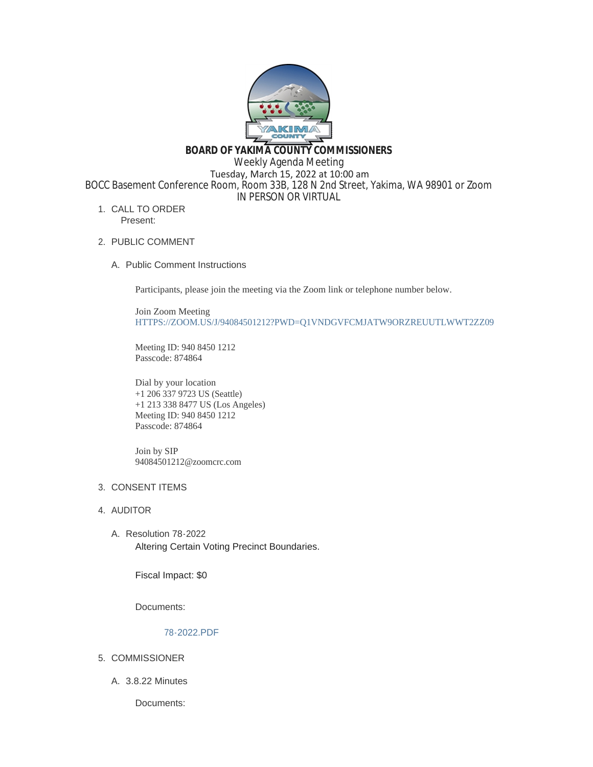

**BOARD OF YAKIMA COUNTY COMMISSIONERS**

Weekly Agenda Meeting

 Tuesday, March 15, 2022 at 10:00 am BOCC Basement Conference Room, Room 33B, 128 N 2nd Street, Yakima, WA 98901 or Zoom

IN PERSON OR VIRTUAL

- 1. CALL TO ORDER Present:
- 2. PUBLIC COMMENT
	- A. Public Comment Instructions

Participants, please join the meeting via the Zoom link or telephone number below.

Join Zoom Meeting [HTTPS://ZOOM.US/J/94084501212?PWD=Q1VNDGVFCMJATW9ORZREUUTLWWT2ZZ09](https://zoom.us/j/94084501212?pwd=Q1VNdGVFcmJaTW9ORzREUUtlWWt2Zz09)

Meeting ID: 940 8450 1212 Passcode: 874864

Dial by your location +1 206 337 9723 US (Seattle) +1 213 338 8477 US (Los Angeles) Meeting ID: 940 8450 1212 Passcode: 874864

Join by SIP 94084501212@zoomcrc.com

# 3. CONSENT ITEMS

- 4. AUDITOR
	- Resolution 78-2022 A. Altering Certain Voting Precinct Boundaries.

Fiscal Impact: \$0

Documents:

#### [78-2022.PDF](https://www.yakimacounty.us/AgendaCenter/ViewFile/Item/4008?fileID=15733)

- 5. COMMISSIONER
	- 3.8.22 Minutes A.

Documents: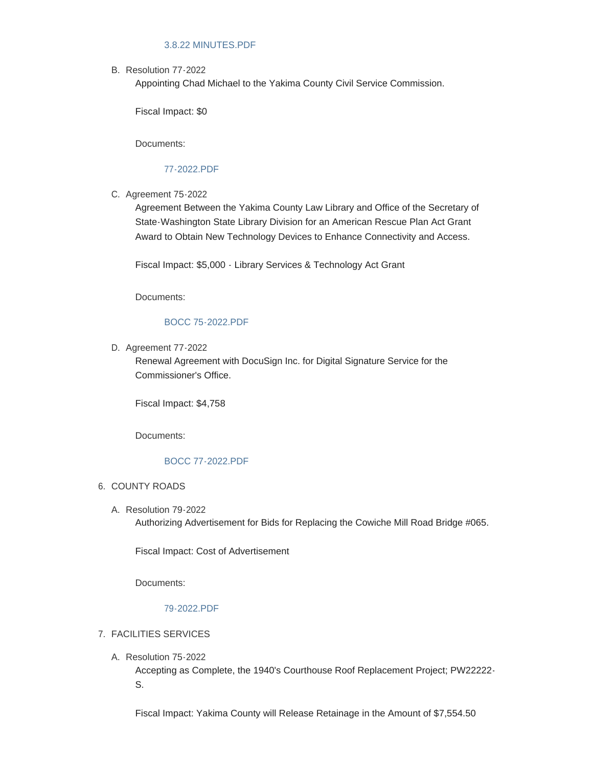### [3.8.22 MINUTES.PDF](https://www.yakimacounty.us/AgendaCenter/ViewFile/Item/3989?fileID=15723)

B. Resolution 77-2022

Appointing Chad Michael to the Yakima County Civil Service Commission.

Fiscal Impact: \$0

Documents:

# [77-2022.PDF](https://www.yakimacounty.us/AgendaCenter/ViewFile/Item/4007?fileID=15729)

C. Agreement 75-2022

Agreement Between the Yakima County Law Library and Office of the Secretary of State-Washington State Library Division for an American Rescue Plan Act Grant Award to Obtain New Technology Devices to Enhance Connectivity and Access.

Fiscal Impact: \$5,000 - Library Services & Technology Act Grant

Documents:

### [BOCC 75-2022.PDF](https://www.yakimacounty.us/AgendaCenter/ViewFile/Item/3990?fileID=15724)

D. Agreement 77-2022

Renewal Agreement with DocuSign Inc. for Digital Signature Service for the Commissioner's Office.

Fiscal Impact: \$4,758

Documents:

# [BOCC 77-2022.PDF](https://www.yakimacounty.us/AgendaCenter/ViewFile/Item/4006?fileID=15728)

- 6. COUNTY ROADS
	- A. Resolution 79-2022 Authorizing Advertisement for Bids for Replacing the Cowiche Mill Road Bridge #065.

Fiscal Impact: Cost of Advertisement

Documents:

### [79-2022.PDF](https://www.yakimacounty.us/AgendaCenter/ViewFile/Item/4009?fileID=15732)

# FACILITIES SERVICES 7.

Resolution 75-2022 A.

Accepting as Complete, the 1940's Courthouse Roof Replacement Project; PW22222- S.

Fiscal Impact: Yakima County will Release Retainage in the Amount of \$7,554.50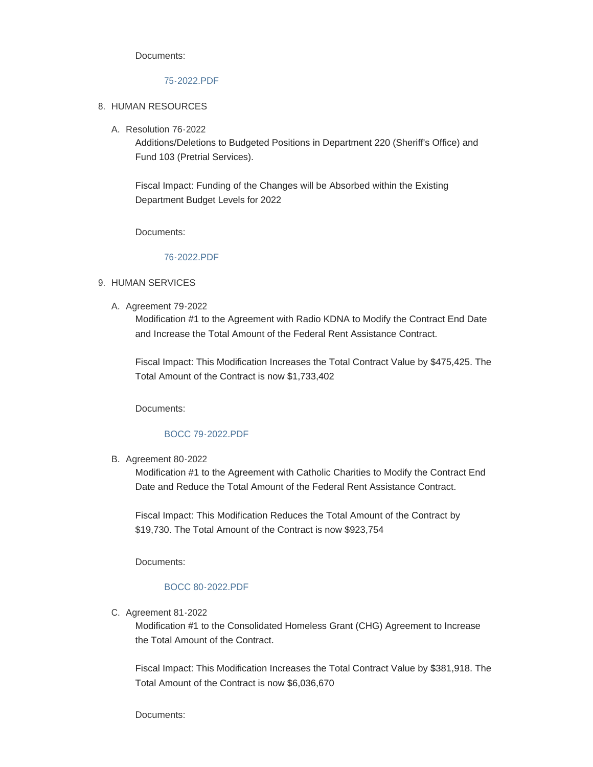Documents:

## [75-2022.PDF](https://www.yakimacounty.us/AgendaCenter/ViewFile/Item/3991?fileID=15725)

#### 8. HUMAN RESOURCES

Resolution 76-2022 A.

Additions/Deletions to Budgeted Positions in Department 220 (Sheriff's Office) and Fund 103 (Pretrial Services).

Fiscal Impact: Funding of the Changes will be Absorbed within the Existing Department Budget Levels for 2022

Documents:

#### [76-2022.PDF](https://www.yakimacounty.us/AgendaCenter/ViewFile/Item/4002?fileID=15726)

- 9. HUMAN SERVICES
	- A. Agreement 79-2022

Modification #1 to the Agreement with Radio KDNA to Modify the Contract End Date and Increase the Total Amount of the Federal Rent Assistance Contract.

Fiscal Impact: This Modification Increases the Total Contract Value by \$475,425. The Total Amount of the Contract is now \$1,733,402

Documents:

### [BOCC 79-2022.PDF](https://www.yakimacounty.us/AgendaCenter/ViewFile/Item/4011?fileID=15735)

B. Agreement 80-2022

Modification #1 to the Agreement with Catholic Charities to Modify the Contract End Date and Reduce the Total Amount of the Federal Rent Assistance Contract.

Fiscal Impact: This Modification Reduces the Total Amount of the Contract by \$19,730. The Total Amount of the Contract is now \$923,754

Documents:

## [BOCC 80-2022.PDF](https://www.yakimacounty.us/AgendaCenter/ViewFile/Item/4012?fileID=15736)

C. Agreement 81-2022

Modification #1 to the Consolidated Homeless Grant (CHG) Agreement to Increase the Total Amount of the Contract.

Fiscal Impact: This Modification Increases the Total Contract Value by \$381,918. The Total Amount of the Contract is now \$6,036,670

Documents: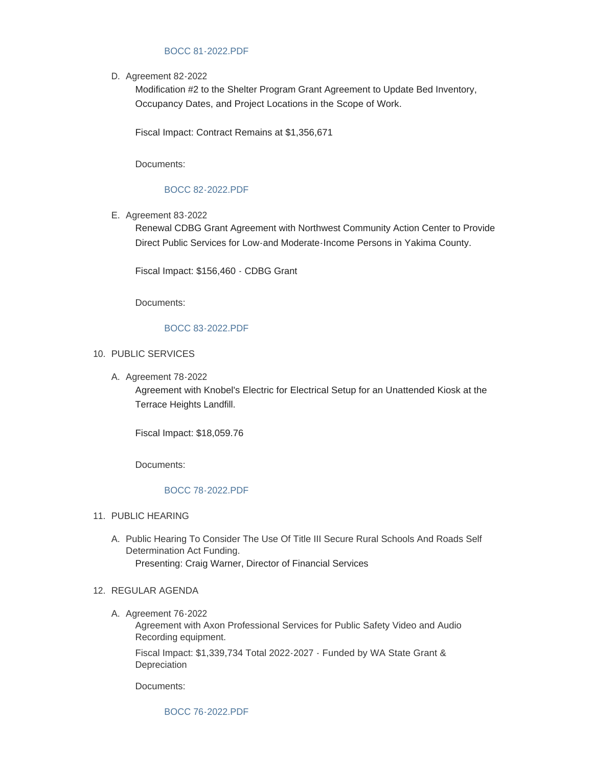### [BOCC 81-2022.PDF](https://www.yakimacounty.us/AgendaCenter/ViewFile/Item/4013?fileID=15737)

D. Agreement 82-2022

Modification #2 to the Shelter Program Grant Agreement to Update Bed Inventory, Occupancy Dates, and Project Locations in the Scope of Work.

Fiscal Impact: Contract Remains at \$1,356,671

Documents:

### [BOCC 82-2022.PDF](https://www.yakimacounty.us/AgendaCenter/ViewFile/Item/4014?fileID=15738)

E. Agreement 83-2022

Renewal CDBG Grant Agreement with Northwest Community Action Center to Provide Direct Public Services for Low-and Moderate-Income Persons in Yakima County.

Fiscal Impact: \$156,460 - CDBG Grant

Documents:

### [BOCC 83-2022.PDF](https://www.yakimacounty.us/AgendaCenter/ViewFile/Item/4015?fileID=15739)

### 10. PUBLIC SERVICES

A. Agreement 78-2022

Agreement with Knobel's Electric for Electrical Setup for an Unattended Kiosk at the Terrace Heights Landfill.

Fiscal Impact: \$18,059.76

Documents:

#### [BOCC 78-2022.PDF](https://www.yakimacounty.us/AgendaCenter/ViewFile/Item/4010?fileID=15734)

- 11. PUBLIC HEARING
	- A. Public Hearing To Consider The Use Of Title III Secure Rural Schools And Roads Self Determination Act Funding. Presenting: Craig Warner, Director of Financial Services

#### 12. REGULAR AGENDA

A. Agreement 76-2022

Agreement with Axon Professional Services for Public Safety Video and Audio Recording equipment.

Fiscal Impact: \$1,339,734 Total 2022-2027 - Funded by WA State Grant & Depreciation

Documents:

[BOCC 76-2022.PDF](https://www.yakimacounty.us/AgendaCenter/ViewFile/Item/4003?fileID=15730)